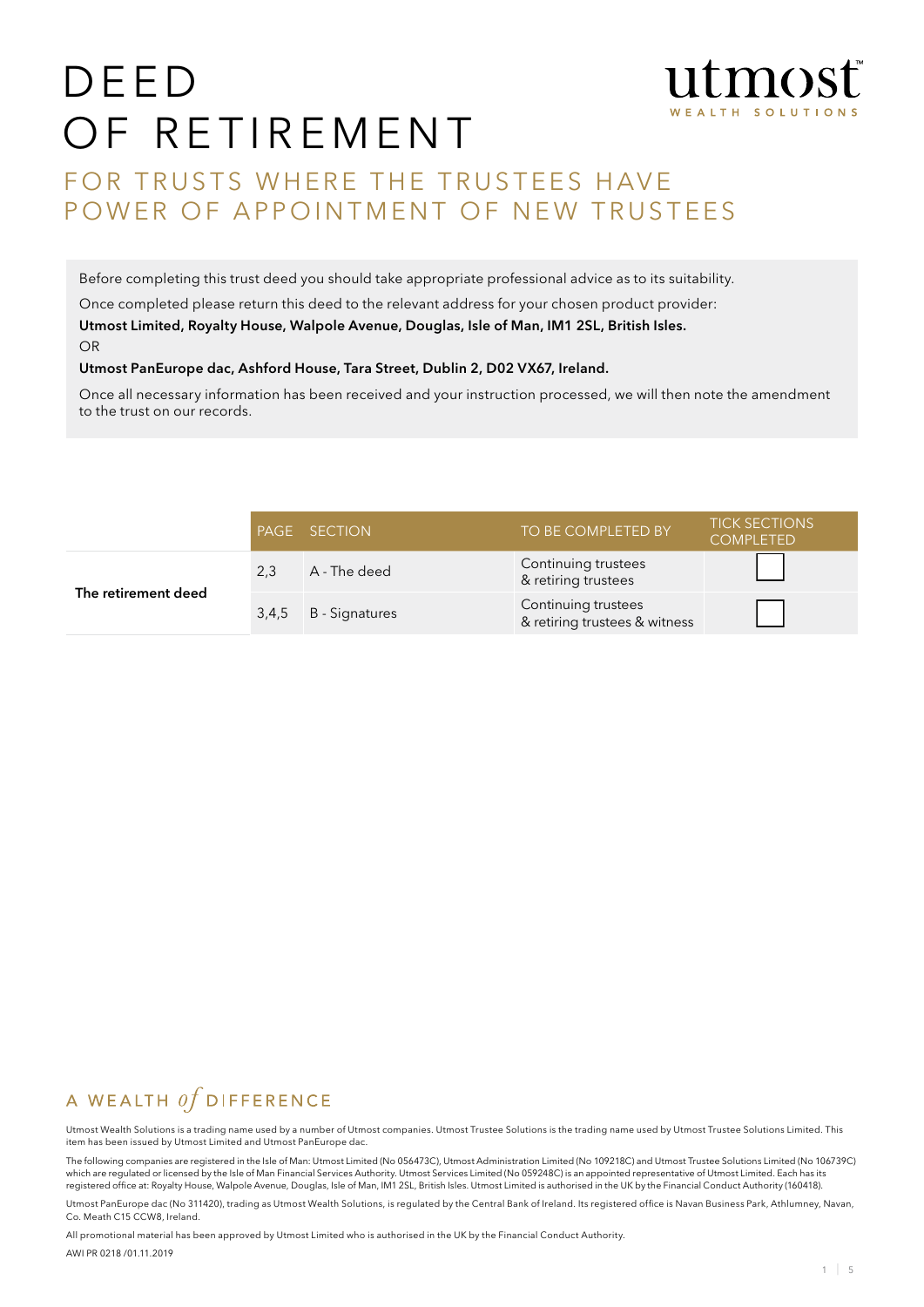# DEED OF RETIREMENT



# FOR TRUSTS WHERE THE TRUSTEES HAVE POWER OF APPOINTMENT OF NEW TRUSTEES

Before completing this trust deed you should take appropriate professional advice as to its suitability.

Once completed please return this deed to the relevant address for your chosen product provider: Utmost Limited, Royalty House, Walpole Avenue, Douglas, Isle of Man, IM1 2SL, British Isles. OR

#### Utmost PanEurope dac, Ashford House, Tara Street, Dublin 2, D02 VX67, Ireland.

Once all necessary information has been received and your instruction processed, we will then note the amendment to the trust on our records.

|                     |     | PAGE SECTION         | TO BE COMPLETED BY                                   | <b>TICK SECTIONS</b><br><b>COMPLETED</b> |
|---------------------|-----|----------------------|------------------------------------------------------|------------------------------------------|
| The retirement deed | 2,3 | A - The deed         | Continuing trustees<br>& retiring trustees           |                                          |
|                     |     | 3,4,5 B - Signatures | Continuing trustees<br>& retiring trustees & witness |                                          |

# A WEALTH  $of$  DIFFERENCE

Utmost Wealth Solutions is a trading name used by a number of Utmost companies. Utmost Trustee Solutions is the trading name used by Utmost Trustee Solutions Limited. This item has been issued by Utmost Limited and Utmost PanEurope dac.

The following companies are registered in the Isle of Man: Utmost Limited (No 056473C), Utmost Administration Limited (No 109218C) and Utmost Trustee Solutions Limited (No 106739C) which are regulated or licensed by the Isle of Man Financial Services Authority. Utmost Services Limited (No 059248C) is an appointed representative of Utmost Limited. Each has its registered office at: Royalty House, Walpole Avenue, Douglas, Isle of Man, IM1 2SL, British Isles. Utmost Limited is authorised in the UK by the Financial Conduct Authority (160418).

Utmost PanEurope dac (No 311420), trading as Utmost Wealth Solutions, is regulated by the Central Bank of Ireland. Its registered office is Navan Business Park, Athlumney, Navan, Co. Meath C15 CCW8, Ireland.

All promotional material has been approved by Utmost Limited who is authorised in the UK by the Financial Conduct Authority. AWI PR 0218 /01.11.2019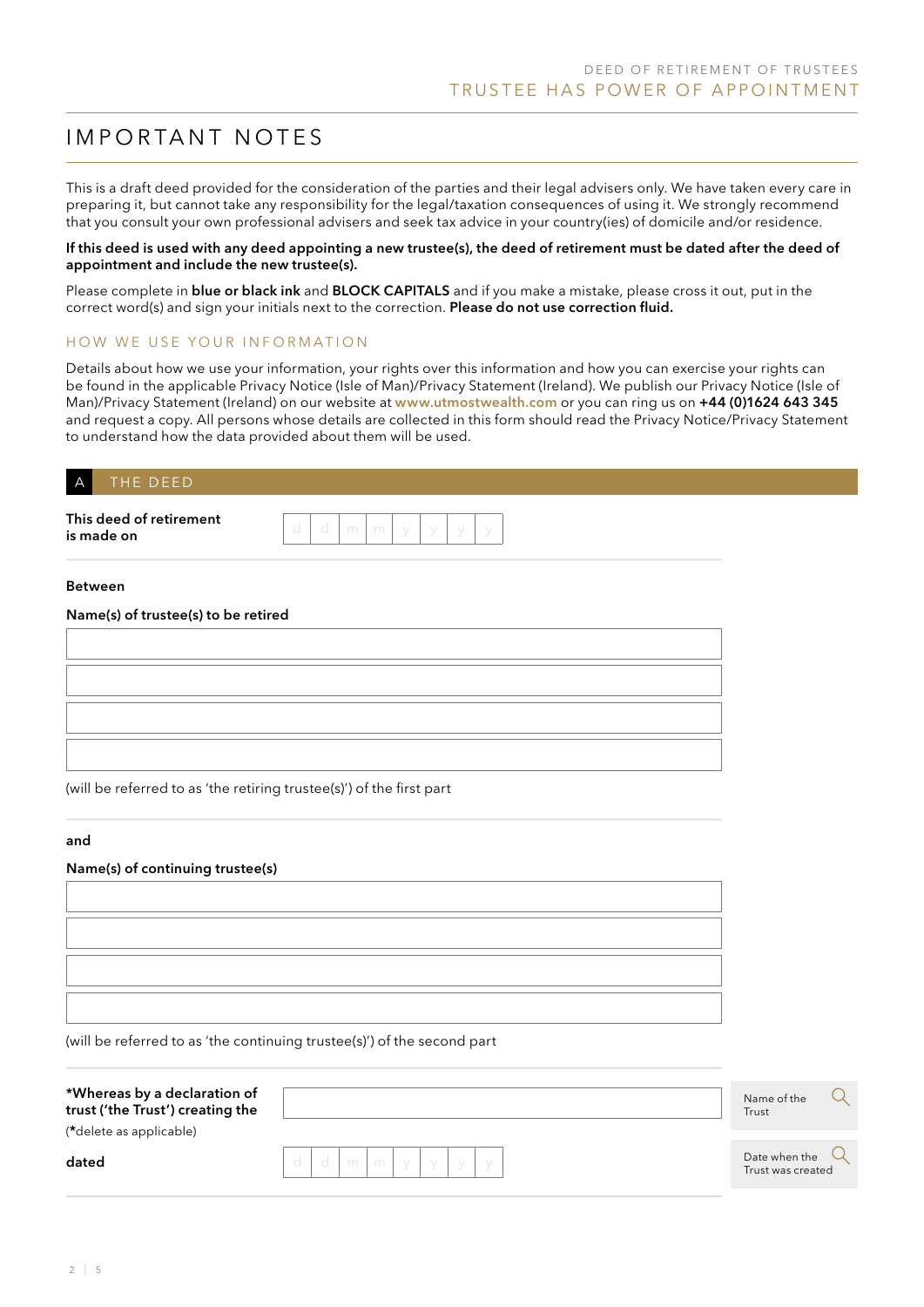# IMPORTANT NOTES

This is a draft deed provided for the consideration of the parties and their legal advisers only. We have taken every care in preparing it, but cannot take any responsibility for the legal/taxation consequences of using it. We strongly recommend that you consult your own professional advisers and seek tax advice in your country(ies) of domicile and/or residence.

#### If this deed is used with any deed appointing a new trustee(s), the deed of retirement must be dated after the deed of appointment and include the new trustee(s).

Please complete in blue or black ink and BLOCK CAPITALS and if you make a mistake, please cross it out, put in the correct word(s) and sign your initials next to the correction. Please do not use correction fluid.

## HOW WE USE YOUR INFORMATION

Details about how we use your information, your rights over this information and how you can exercise your rights can be found in the applicable Privacy Notice (Isle of Man)/Privacy Statement (Ireland). We publish our Privacy Notice (Isle of Man)/Privacy Statement (Ireland) on our website at www.utmostwealth.com or you can ring us on +44 (0)1624 643 345 and request a copy. All persons whose details are collected in this form should read the Privacy Notice/Privacy Statement to understand how the data provided about them will be used.

## THE DEED

This deed of retirement is made on

| O | - m |  |  |  |
|---|-----|--|--|--|
|   |     |  |  |  |

#### Between

#### Name(s) of trustee(s) to be retired

(will be referred to as 'the retiring trustee(s)') of the first part

#### and

#### Name(s) of continuing trustee(s)

(will be referred to as 'the continuing trustee(s)') of the second part

| *Whereas by a declaration of<br>trust ('the Trust') creating the<br>(*delete as applicable) |      |    |  |  |  |
|---------------------------------------------------------------------------------------------|------|----|--|--|--|
| dated                                                                                       | - Cl | mm |  |  |  |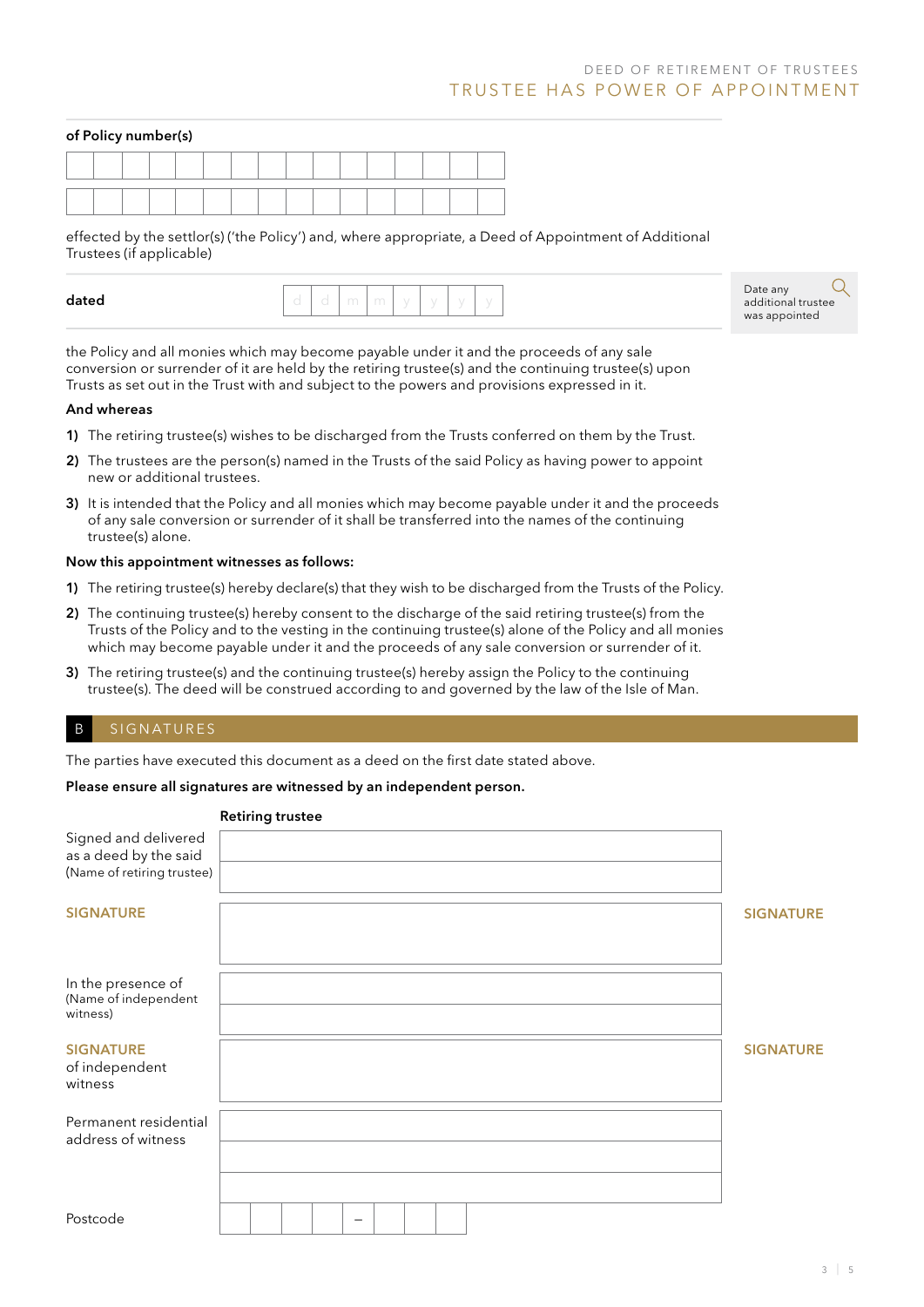#### of Policy number(s)

effected by the settlor(s) ('the Policy') and, where appropriate, a Deed of Appointment of Additional Trustees (if applicable)

Date any additional trustee was appointed

the Policy and all monies which may become payable under it and the proceeds of any sale conversion or surrender of it are held by the retiring trustee(s) and the continuing trustee(s) upon Trusts as set out in the Trust with and subject to the powers and provisions expressed in it.

#### And whereas

- 1) The retiring trustee(s) wishes to be discharged from the Trusts conferred on them by the Trust.
- 2) The trustees are the person(s) named in the Trusts of the said Policy as having power to appoint new or additional trustees.
- 3) It is intended that the Policy and all monies which may become payable under it and the proceeds of any sale conversion or surrender of it shall be transferred into the names of the continuing trustee(s) alone.

#### Now this appointment witnesses as follows:

- 1) The retiring trustee(s) hereby declare(s) that they wish to be discharged from the Trusts of the Policy.
- 2) The continuing trustee(s) hereby consent to the discharge of the said retiring trustee(s) from the Trusts of the Policy and to the vesting in the continuing trustee(s) alone of the Policy and all monies which may become payable under it and the proceeds of any sale conversion or surrender of it.
- 3) The retiring trustee(s) and the continuing trustee(s) hereby assign the Policy to the continuing trustee(s). The deed will be construed according to and governed by the law of the Isle of Man.

#### B SIGNATURES

The parties have executed this document as a deed on the first date stated above.

#### Please ensure all signatures are witnessed by an independent person.

#### Retiring trustee

| Signed and delivered<br>as a deed by the said<br>(Name of retiring trustee) |   |                  |
|-----------------------------------------------------------------------------|---|------------------|
| <b>SIGNATURE</b>                                                            |   | <b>SIGNATURE</b> |
| In the presence of<br>(Name of independent<br>witness)                      |   |                  |
| <b>SIGNATURE</b><br>of independent<br>witness                               |   | <b>SIGNATURE</b> |
| Permanent residential<br>address of witness                                 |   |                  |
| Postcode                                                                    | - |                  |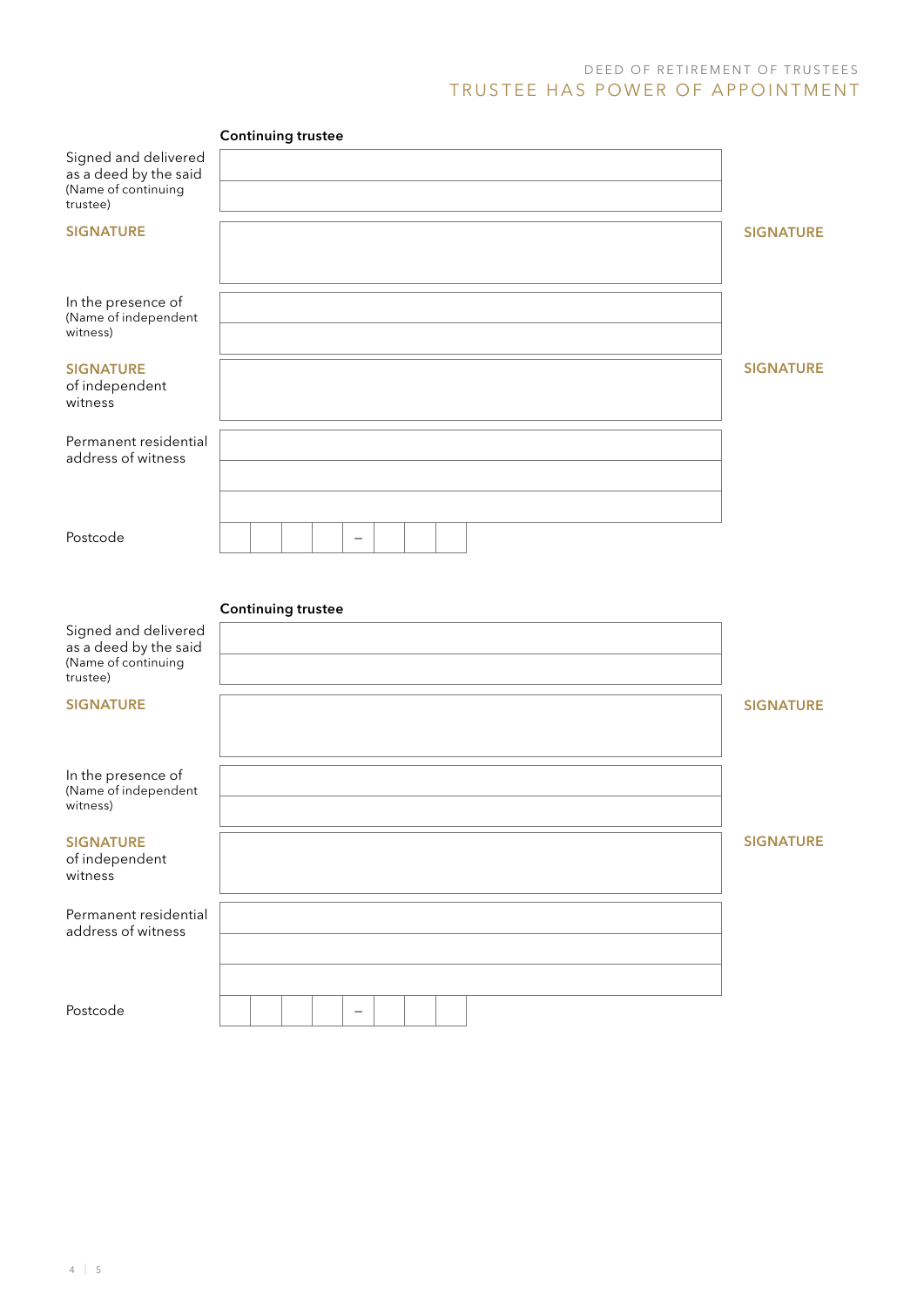## D E E D O F RETIR E MENT OF TRUSTEES TRUSTEE HAS POWER OF APPOINTMENT

|                                                                                  | <b>Continuing trustee</b> |                  |
|----------------------------------------------------------------------------------|---------------------------|------------------|
| Signed and delivered<br>as a deed by the said<br>(Name of continuing<br>trustee) |                           |                  |
| <b>SIGNATURE</b>                                                                 |                           | <b>SIGNATURE</b> |
| In the presence of<br>(Name of independent<br>witness)                           |                           |                  |
| <b>SIGNATURE</b><br>of independent<br>witness                                    |                           | <b>SIGNATURE</b> |
| Permanent residential<br>address of witness                                      |                           |                  |
| Postcode                                                                         | $\overline{\phantom{0}}$  |                  |
|                                                                                  | <b>Continuing trustee</b> |                  |
| Signed and delivered<br>as a deed by the said<br>(Name of continuing<br>trustee) |                           |                  |
| <b>SIGNATURE</b>                                                                 |                           | <b>SIGNATURE</b> |
| In the presence of<br>(Name of independent<br>witness)                           |                           |                  |
| <b>SIGNATURE</b><br>of independent<br>witness                                    |                           | <b>SIGNATURE</b> |
| Permanent residential<br>address of witness                                      |                           |                  |
| Postcode                                                                         |                           |                  |